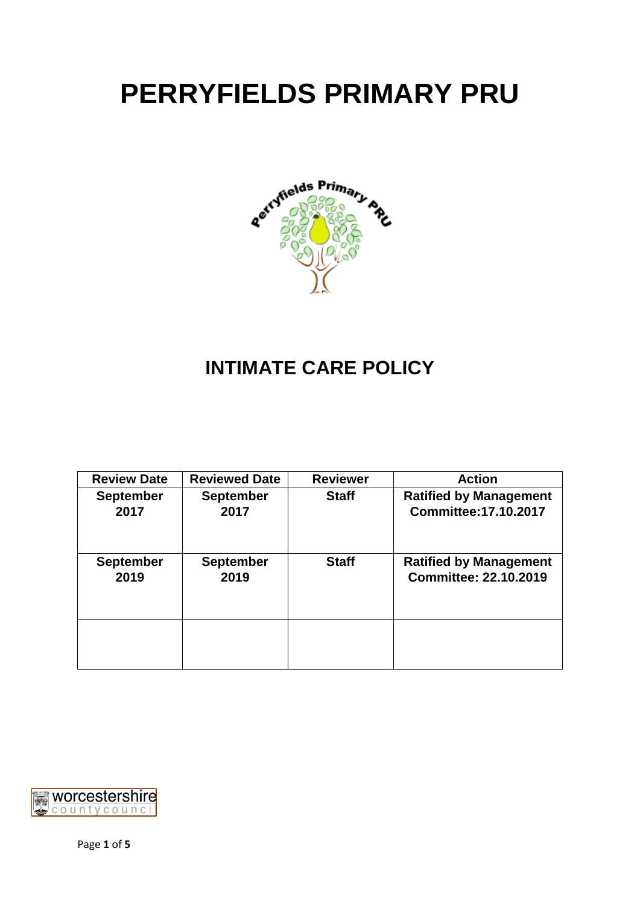# **PERRYFIELDS PRIMARY PRU**



## **INTIMATE CARE POLICY**

| <b>Reviewed Date</b> | <b>Reviewer</b> | <b>Action</b>                 |
|----------------------|-----------------|-------------------------------|
| <b>September</b>     | <b>Staff</b>    | <b>Ratified by Management</b> |
|                      |                 | <b>Committee: 17.10.2017</b>  |
| <b>September</b>     | <b>Staff</b>    | <b>Ratified by Management</b> |
|                      |                 | <b>Committee: 22.10.2019</b>  |
|                      |                 |                               |
|                      | 2017<br>2019    |                               |

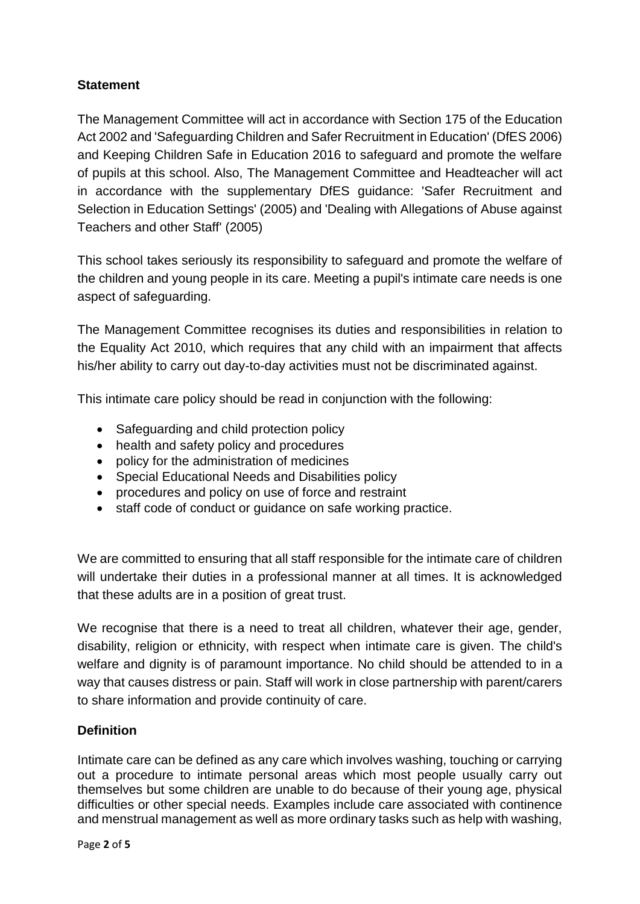### **Statement**

The Management Committee will act in accordance with Section 175 of the Education Act 2002 and 'Safeguarding Children and Safer Recruitment in Education' (DfES 2006) and Keeping Children Safe in Education 2016 to safeguard and promote the welfare of pupils at this school. Also, The Management Committee and Headteacher will act in accordance with the supplementary DfES guidance: 'Safer Recruitment and Selection in Education Settings' (2005) and 'Dealing with Allegations of Abuse against Teachers and other Staff' (2005)

This school takes seriously its responsibility to safeguard and promote the welfare of the children and young people in its care. Meeting a pupil's intimate care needs is one aspect of safeguarding.

The Management Committee recognises its duties and responsibilities in relation to the Equality Act 2010, which requires that any child with an impairment that affects his/her ability to carry out day-to-day activities must not be discriminated against.

This intimate care policy should be read in conjunction with the following:

- Safeguarding and child protection policy
- health and safety policy and procedures
- policy for the administration of medicines
- Special Educational Needs and Disabilities policy
- procedures and policy on use of force and restraint
- staff code of conduct or guidance on safe working practice.

We are committed to ensuring that all staff responsible for the intimate care of children will undertake their duties in a professional manner at all times. It is acknowledged that these adults are in a position of great trust.

We recognise that there is a need to treat all children, whatever their age, gender, disability, religion or ethnicity, with respect when intimate care is given. The child's welfare and dignity is of paramount importance. No child should be attended to in a way that causes distress or pain. Staff will work in close partnership with parent/carers to share information and provide continuity of care.

#### **Definition**

Intimate care can be defined as any care which involves washing, touching or carrying out a procedure to intimate personal areas which most people usually carry out themselves but some children are unable to do because of their young age, physical difficulties or other special needs. Examples include care associated with continence and menstrual management as well as more ordinary tasks such as help with washing,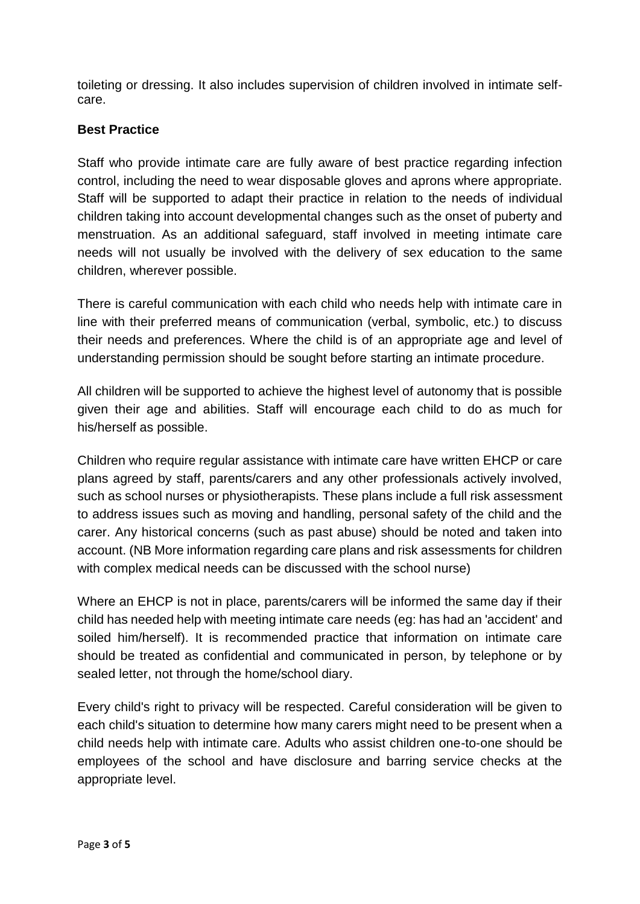toileting or dressing. It also includes supervision of children involved in intimate selfcare.

#### **Best Practice**

Staff who provide intimate care are fully aware of best practice regarding infection control, including the need to wear disposable gloves and aprons where appropriate. Staff will be supported to adapt their practice in relation to the needs of individual children taking into account developmental changes such as the onset of puberty and menstruation. As an additional safeguard, staff involved in meeting intimate care needs will not usually be involved with the delivery of sex education to the same children, wherever possible.

There is careful communication with each child who needs help with intimate care in line with their preferred means of communication (verbal, symbolic, etc.) to discuss their needs and preferences. Where the child is of an appropriate age and level of understanding permission should be sought before starting an intimate procedure.

All children will be supported to achieve the highest level of autonomy that is possible given their age and abilities. Staff will encourage each child to do as much for his/herself as possible.

Children who require regular assistance with intimate care have written EHCP or care plans agreed by staff, parents/carers and any other professionals actively involved, such as school nurses or physiotherapists. These plans include a full risk assessment to address issues such as moving and handling, personal safety of the child and the carer. Any historical concerns (such as past abuse) should be noted and taken into account. (NB More information regarding care plans and risk assessments for children with complex medical needs can be discussed with the school nurse)

Where an EHCP is not in place, parents/carers will be informed the same day if their child has needed help with meeting intimate care needs (eg: has had an 'accident' and soiled him/herself). It is recommended practice that information on intimate care should be treated as confidential and communicated in person, by telephone or by sealed letter, not through the home/school diary.

Every child's right to privacy will be respected. Careful consideration will be given to each child's situation to determine how many carers might need to be present when a child needs help with intimate care. Adults who assist children one-to-one should be employees of the school and have disclosure and barring service checks at the appropriate level.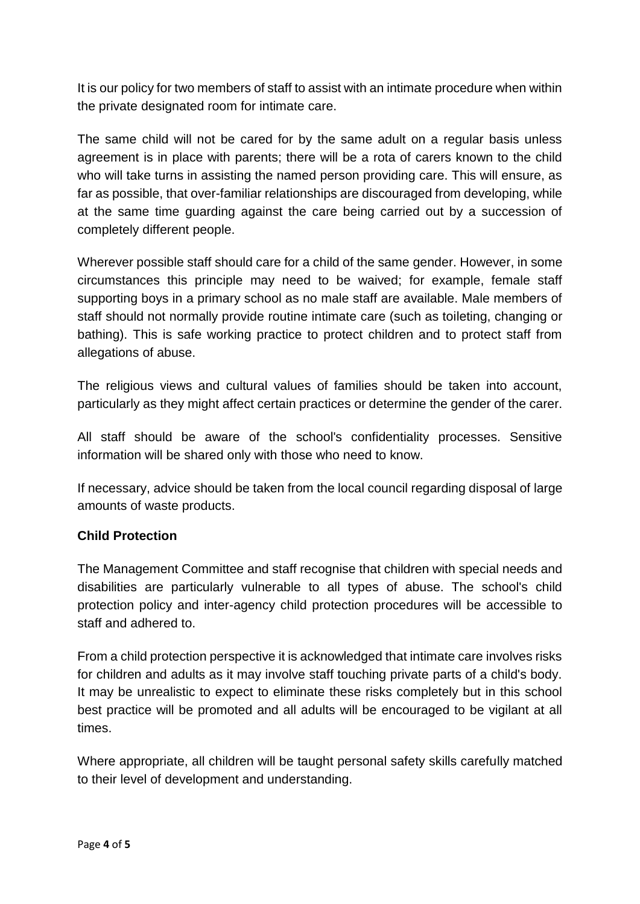It is our policy for two members of staff to assist with an intimate procedure when within the private designated room for intimate care.

The same child will not be cared for by the same adult on a regular basis unless agreement is in place with parents; there will be a rota of carers known to the child who will take turns in assisting the named person providing care. This will ensure, as far as possible, that over-familiar relationships are discouraged from developing, while at the same time guarding against the care being carried out by a succession of completely different people.

Wherever possible staff should care for a child of the same gender. However, in some circumstances this principle may need to be waived; for example, female staff supporting boys in a primary school as no male staff are available. Male members of staff should not normally provide routine intimate care (such as toileting, changing or bathing). This is safe working practice to protect children and to protect staff from allegations of abuse.

The religious views and cultural values of families should be taken into account, particularly as they might affect certain practices or determine the gender of the carer.

All staff should be aware of the school's confidentiality processes. Sensitive information will be shared only with those who need to know.

If necessary, advice should be taken from the local council regarding disposal of large amounts of waste products.

#### **Child Protection**

The Management Committee and staff recognise that children with special needs and disabilities are particularly vulnerable to all types of abuse. The school's child protection policy and inter-agency child protection procedures will be accessible to staff and adhered to.

From a child protection perspective it is acknowledged that intimate care involves risks for children and adults as it may involve staff touching private parts of a child's body. It may be unrealistic to expect to eliminate these risks completely but in this school best practice will be promoted and all adults will be encouraged to be vigilant at all times.

Where appropriate, all children will be taught personal safety skills carefully matched to their level of development and understanding.